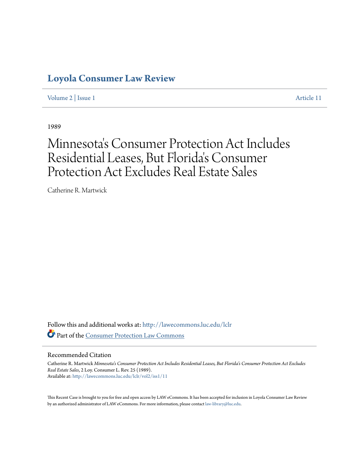# **[Loyola Consumer Law Review](http://lawecommons.luc.edu/lclr?utm_source=lawecommons.luc.edu%2Flclr%2Fvol2%2Fiss1%2F11&utm_medium=PDF&utm_campaign=PDFCoverPages)**

[Volume 2](http://lawecommons.luc.edu/lclr/vol2?utm_source=lawecommons.luc.edu%2Flclr%2Fvol2%2Fiss1%2F11&utm_medium=PDF&utm_campaign=PDFCoverPages) | [Issue 1](http://lawecommons.luc.edu/lclr/vol2/iss1?utm_source=lawecommons.luc.edu%2Flclr%2Fvol2%2Fiss1%2F11&utm_medium=PDF&utm_campaign=PDFCoverPages) [Article 11](http://lawecommons.luc.edu/lclr/vol2/iss1/11?utm_source=lawecommons.luc.edu%2Flclr%2Fvol2%2Fiss1%2F11&utm_medium=PDF&utm_campaign=PDFCoverPages)

1989

# Minnesota 's Consumer Protection Act Includes Residential Leases, But Florida 's Consumer Protection Act Excludes Real Estate Sales

Catherine R. Martwick

Follow this and additional works at: [http://lawecommons.luc.edu/lclr](http://lawecommons.luc.edu/lclr?utm_source=lawecommons.luc.edu%2Flclr%2Fvol2%2Fiss1%2F11&utm_medium=PDF&utm_campaign=PDFCoverPages) Part of the [Consumer Protection Law Commons](http://network.bepress.com/hgg/discipline/838?utm_source=lawecommons.luc.edu%2Flclr%2Fvol2%2Fiss1%2F11&utm_medium=PDF&utm_campaign=PDFCoverPages)

## Recommended Citation

Catherine R. Martwick *Minnesota's Consumer Protection Act Includes Residential Leases, But Florida's Consumer Protection Act Excludes Real Estate Sales*, 2 Loy. Consumer L. Rev. 25 (1989). Available at: [http://lawecommons.luc.edu/lclr/vol2/iss1/11](http://lawecommons.luc.edu/lclr/vol2/iss1/11?utm_source=lawecommons.luc.edu%2Flclr%2Fvol2%2Fiss1%2F11&utm_medium=PDF&utm_campaign=PDFCoverPages)

This Recent Case is brought to you for free and open access by LAW eCommons. It has been accepted for inclusion in Loyola Consumer Law Review by an authorized administrator of LAW eCommons. For more information, please contact [law-library@luc.edu](mailto:law-library@luc.edu).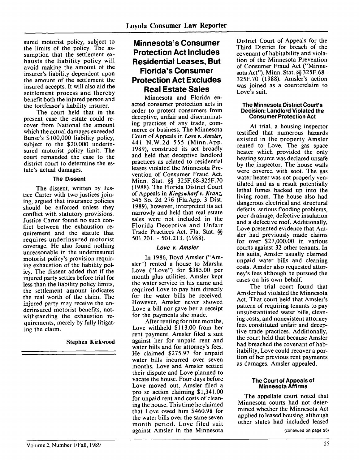sured motorist policy, subject to the limits of the policy. The assumption that the settlement exhausts the liability policy will avoid making the amount of the insurer's liability dependent upon the amount of the settlement the insured accepts. It will also aid the settlement process and thereby benefit both the injured person and the tortfeasor's liability insurer.

The court held that in the present case the estate could recover from National the amount which the actual damages exceeded Bunse's \$100,000 liability policy, subject to the \$20,000 underinsured motorist policy limit. The court remanded the case to the district court to determine the estate's actual damages.

# **The Dissent**

The dissent, written by Justice Carter with two justices joining, argued that insurance policies should be enforced unless they conflict with statutory provisions. Justice Carter found no such conflict between the exhaustion requirement and the statute that requires underinsured motorist coverage. He also found nothing unreasonable in the underinsured motorist policy's provision requiring exhaustion of the liability policy. The dissent added that if the injured party settles before trial for less than the liability policy limits, the settlement amount indicates the real worth of the claim. The injured party may receive the underinsured motorist benefits, notwithstanding the exhaustion requirements, merely by fully litigating the claim.

# Stephen Kirkwood

# **Minnesota's Consumer Protection Act Includes Residential Leases, But Florida's Consumer Protection Act Excludes Real Estate Sales**

Minnesota and Florida enacted consumer protection acts in order to protect consumers from deceptive, unfair and discriminating practices of any trade, commerce or business. The Minnesota Court of Appeals in *Love v. Amsler,* 441 N.W.2d 555 (Minn.App. 1989), construed its act broadly and held that deceptive landlord practices as related to residential leases violated the Minnesota Prevention of Consumer Fraud Act. Minn. Stat. **§§** 325F.68-325F.70 (1988). The Florida District Court of Appeals in *Kingswharf v. Kranz,* 545 So. 2d 276 (Fla.App. 3 Dist. 1989), however, interpreted its act narrowly and held that real estate sales were not included in the Florida Deceptive and Unfair Trade Practices Act. Fla. Stat. **§§** 501.201. **-** 501.213. (1988).

## **Love v. Amsler**

In 1986, Boyd Amsler ("Amsler") rented a house to Marsha Love ("Love") for \$385.00 per month plus utilities. Amsler kept the water service in his name and required Love to pay him directly for the water bills he received. However, Amsler never showed Love a bill nor gave her a receipt for the payments she made.

After renting for nine months, Love withheld \$113.00 from her rent payment. Amsler filed a suit against her for unpaid rent and water bills and for attorney's fees. He claimed \$275.97 for unpaid water bills incurred over seven months. Love and Amsler settled their dispute and Love planned to vacate the house. Four days before Love moved out, Amsler filed a pro se action claiming \$1,341.00 for unpaid rent and costs of cleaning the house. This time he claimed that Love owed him \$460.98 for the water bills over the same seven month period. Love filed suit against Amsler in the Minnesota

District Court of Appeals for the Third District for breach of the covenant of habitability and violation of the Minnesota Prevention of Consumer Fraud Act ("Minnesota Act"). Minn. Stat. **§§** 325F.68 **-** 325F.70 (1988). Amsler's action was joined as a counterclaim to Love's suit.

#### **The Minnesota District Court's Decision: Landlord Violated the Consumer Protection Act**

At trial, a housing inspector testified that numerous hazards existed in the property Amsler rented to Love. The gas space heater which provided the only heating source was declared unsafe by the inspector. The house walls were covered with soot. The gas water heater was not properly ventilated and as a result potentially lethal fumes backed up into the living room. The house also had dangerous electrical and structural defects, serious flooding problems, poor drainage, defective insulation and a defective roof. Additionally, Love presented evidence that Amsler had previously made claims for over \$27,000.00 in various courts against 32 other tenants. In his suits, Amsler usually claimed unpaid water bills and cleaning costs. Amsler also requested attorney's fees although he pursued the cases on his own behalf.

The trial court found that Amsler had violated the Minnesota Act. That court held that Amsler's pattern of requiring tenants to pay unsubstantiated water bills, cleaning costs, and nonexistent attorney fees constituted unfair and deceptive trade practices. Additionally, the court held that because Amsler had breached the covenant of habitability, Love could recover a portion of her previous rent payments as damages. Amsler appealed.

### **The Court of Appeals of Minnesota Affirms**

The appellate court noted that Minnesota courts had not determined whether the Minnesota Act applied to leased housing, although other states had included leased

(continued on page **26)**